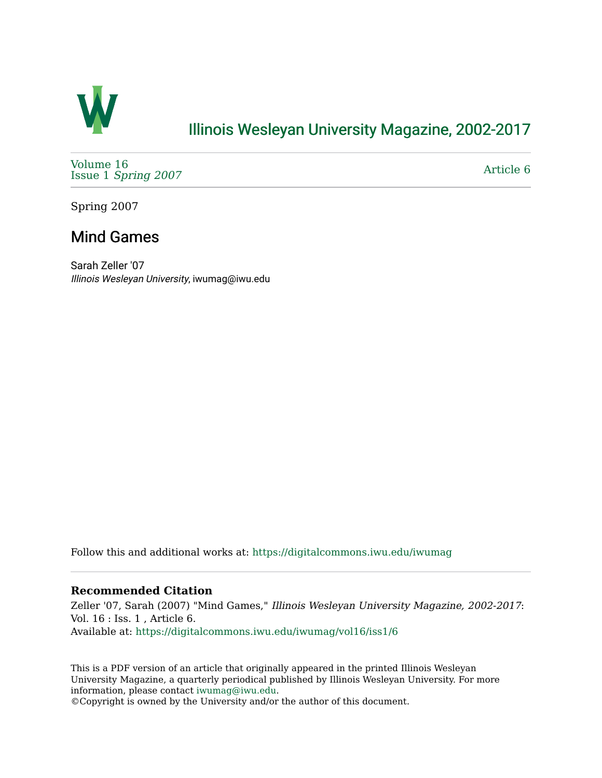

## [Illinois Wesleyan University Magazine, 2002-2017](https://digitalcommons.iwu.edu/iwumag)

[Volume 16](https://digitalcommons.iwu.edu/iwumag/vol16)  Issue 1 [Spring 2007](https://digitalcommons.iwu.edu/iwumag/vol16/iss1)

[Article 6](https://digitalcommons.iwu.edu/iwumag/vol16/iss1/6) 

Spring 2007

## Mind Games

Sarah Zeller '07 Illinois Wesleyan University, iwumag@iwu.edu

Follow this and additional works at: [https://digitalcommons.iwu.edu/iwumag](https://digitalcommons.iwu.edu/iwumag?utm_source=digitalcommons.iwu.edu%2Fiwumag%2Fvol16%2Fiss1%2F6&utm_medium=PDF&utm_campaign=PDFCoverPages) 

### **Recommended Citation**

Zeller '07, Sarah (2007) "Mind Games," Illinois Wesleyan University Magazine, 2002-2017: Vol. 16 : Iss. 1 , Article 6. Available at: [https://digitalcommons.iwu.edu/iwumag/vol16/iss1/6](https://digitalcommons.iwu.edu/iwumag/vol16/iss1/6?utm_source=digitalcommons.iwu.edu%2Fiwumag%2Fvol16%2Fiss1%2F6&utm_medium=PDF&utm_campaign=PDFCoverPages)

This is a PDF version of an article that originally appeared in the printed Illinois Wesleyan University Magazine, a quarterly periodical published by Illinois Wesleyan University. For more information, please contact [iwumag@iwu.edu](mailto:iwumag@iwu.edu).

©Copyright is owned by the University and/or the author of this document.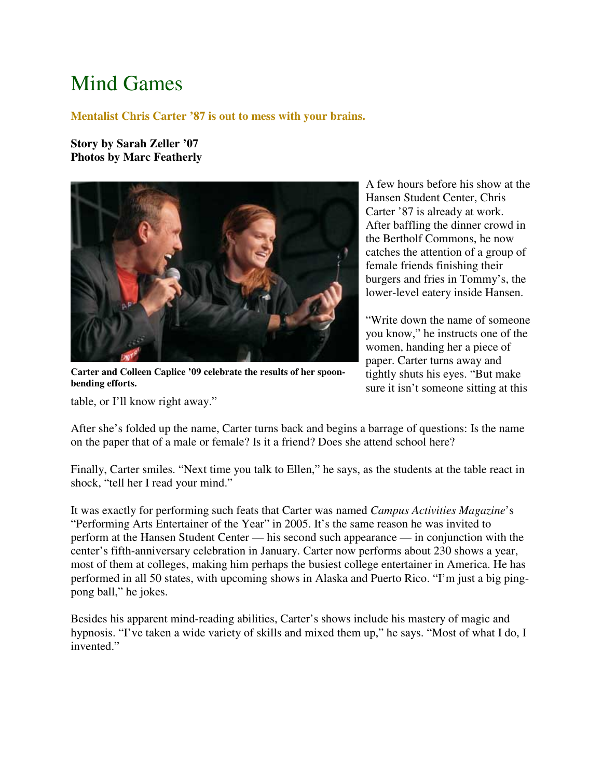# Mind Games

#### **Mentalist Chris Carter '87 is out to mess with your brains.**

**Story by Sarah Zeller '07 Photos by Marc Featherly**



**Carter and Colleen Caplice '09 celebrate the results of her spoonbending efforts.** 

table, or I'll know right away."

A few hours before his show at the Hansen Student Center, Chris Carter '87 is already at work. After baffling the dinner crowd in the Bertholf Commons, he now catches the attention of a group of female friends finishing their burgers and fries in Tommy's, the lower-level eatery inside Hansen.

"Write down the name of someone you know," he instructs one of the women, handing her a piece of paper. Carter turns away and tightly shuts his eyes. "But make sure it isn't someone sitting at this

After she's folded up the name, Carter turns back and begins a barrage of questions: Is the name on the paper that of a male or female? Is it a friend? Does she attend school here?

Finally, Carter smiles. "Next time you talk to Ellen," he says, as the students at the table react in shock, "tell her I read your mind."

It was exactly for performing such feats that Carter was named *Campus Activities Magazine*'s "Performing Arts Entertainer of the Year" in 2005. It's the same reason he was invited to perform at the Hansen Student Center — his second such appearance — in conjunction with the center's fifth-anniversary celebration in January. Carter now performs about 230 shows a year, most of them at colleges, making him perhaps the busiest college entertainer in America. He has performed in all 50 states, with upcoming shows in Alaska and Puerto Rico. "I'm just a big pingpong ball," he jokes.

Besides his apparent mind-reading abilities, Carter's shows include his mastery of magic and hypnosis. "I've taken a wide variety of skills and mixed them up," he says. "Most of what I do, I invented."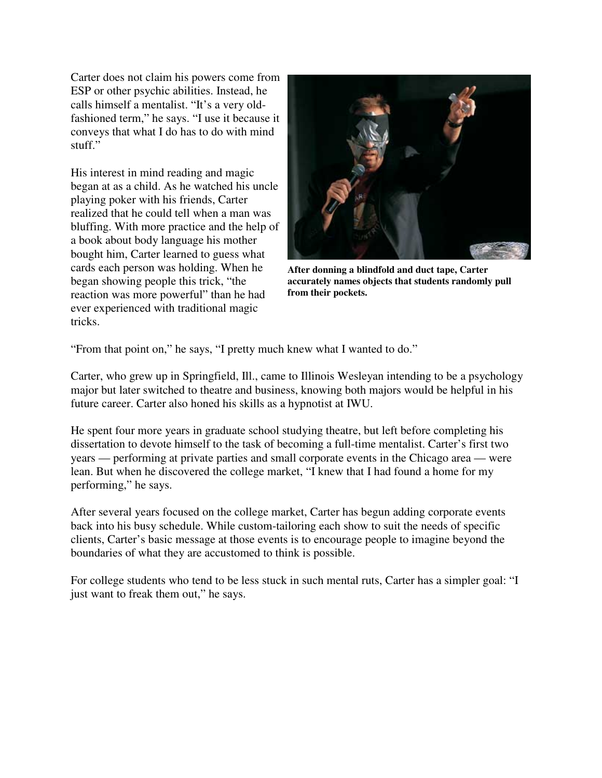Carter does not claim his powers come from ESP or other psychic abilities. Instead, he calls himself a mentalist. "It's a very oldfashioned term," he says. "I use it because it conveys that what I do has to do with mind stuff."

His interest in mind reading and magic began at as a child. As he watched his uncle playing poker with his friends, Carter realized that he could tell when a man was bluffing. With more practice and the help of a book about body language his mother bought him, Carter learned to guess what cards each person was holding. When he began showing people this trick, "the reaction was more powerful" than he had ever experienced with traditional magic tricks.



**After donning a blindfold and duct tape, Carter accurately names objects that students randomly pull from their pockets.** 

"From that point on," he says, "I pretty much knew what I wanted to do."

Carter, who grew up in Springfield, Ill., came to Illinois Wesleyan intending to be a psychology major but later switched to theatre and business, knowing both majors would be helpful in his future career. Carter also honed his skills as a hypnotist at IWU.

He spent four more years in graduate school studying theatre, but left before completing his dissertation to devote himself to the task of becoming a full-time mentalist. Carter's first two years — performing at private parties and small corporate events in the Chicago area — were lean. But when he discovered the college market, "I knew that I had found a home for my performing," he says.

After several years focused on the college market, Carter has begun adding corporate events back into his busy schedule. While custom-tailoring each show to suit the needs of specific clients, Carter's basic message at those events is to encourage people to imagine beyond the boundaries of what they are accustomed to think is possible.

For college students who tend to be less stuck in such mental ruts, Carter has a simpler goal: "I just want to freak them out," he says.